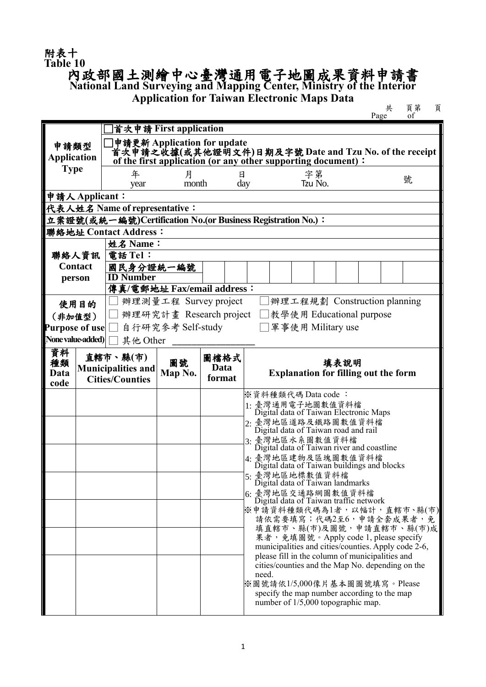## 附表十<br>Table 10

## **Table 10** 內政部國土測繪中心臺灣通用電子地圖成果資料申請書 **National Land Surveying and Mapping Center, Ministry of the Interior**

**Application for Taiwan Electronic Maps Data**

 共 頁第 頁 Page of

|                                                             |      | 首次申請 First application                                                                                                |                                                                                  |                                                     |                                                             |  |                                                                   |         |                                                  |  |  |                                                     |
|-------------------------------------------------------------|------|-----------------------------------------------------------------------------------------------------------------------|----------------------------------------------------------------------------------|-----------------------------------------------------|-------------------------------------------------------------|--|-------------------------------------------------------------------|---------|--------------------------------------------------|--|--|-----------------------------------------------------|
| 申請類型                                                        |      | 申請更新 Application for update                                                                                           |                                                                                  |                                                     |                                                             |  |                                                                   |         |                                                  |  |  |                                                     |
| <b>Application</b>                                          |      | 首次申請之收據(或其他證明文件)日期及字號 Date and Tzu No. of the receipt<br>of the first application (or any other supporting document): |                                                                                  |                                                     |                                                             |  |                                                                   |         |                                                  |  |  |                                                     |
| <b>Type</b>                                                 |      | 年                                                                                                                     | 月                                                                                |                                                     |                                                             |  |                                                                   | 字第      |                                                  |  |  |                                                     |
|                                                             |      | year                                                                                                                  | month                                                                            | Η                                                   | day                                                         |  |                                                                   | Tzu No. |                                                  |  |  | 號                                                   |
| 申請人Applicant:                                               |      |                                                                                                                       |                                                                                  |                                                     |                                                             |  |                                                                   |         |                                                  |  |  |                                                     |
| 代表人姓名 Name of representative:                               |      |                                                                                                                       |                                                                                  |                                                     |                                                             |  |                                                                   |         |                                                  |  |  |                                                     |
| 立案證號(或統一編號)Certification No.(or Business Registration No.): |      |                                                                                                                       |                                                                                  |                                                     |                                                             |  |                                                                   |         |                                                  |  |  |                                                     |
|                                                             |      | 聯絡地址 Contact Address:                                                                                                 |                                                                                  |                                                     |                                                             |  |                                                                   |         |                                                  |  |  |                                                     |
| 聯絡人資訊<br><b>Contact</b>                                     |      | 姓名 Name:<br>電話 Tel:                                                                                                   |                                                                                  |                                                     |                                                             |  |                                                                   |         |                                                  |  |  |                                                     |
|                                                             |      | 國民身分證統一編號                                                                                                             |                                                                                  |                                                     |                                                             |  |                                                                   |         |                                                  |  |  |                                                     |
| person                                                      |      | <b>ID Number</b>                                                                                                      |                                                                                  |                                                     |                                                             |  |                                                                   |         |                                                  |  |  |                                                     |
|                                                             |      |                                                                                                                       | 傳真/電郵地址 Fax/email address:                                                       |                                                     |                                                             |  |                                                                   |         |                                                  |  |  |                                                     |
|                                                             | 使用目的 |                                                                                                                       | 辦理測量工程 Survey project                                                            |                                                     |                                                             |  |                                                                   |         | 辦理工程規劃 Construction planning                     |  |  |                                                     |
| (非加值型)                                                      |      |                                                                                                                       | 辦理研究計畫 Research project                                                          |                                                     |                                                             |  |                                                                   |         | 教學使用 Educational purpose                         |  |  |                                                     |
| Purpose of use                                              |      |                                                                                                                       | 自行研究參考 Self-study                                                                |                                                     |                                                             |  |                                                                   |         | 軍事使用 Military use                                |  |  |                                                     |
| None value-added)                                           |      | 其他 Other                                                                                                              |                                                                                  |                                                     |                                                             |  |                                                                   |         |                                                  |  |  |                                                     |
| 資料<br>直轄市、縣(市)<br>圖檔格式<br>圖號                                |      |                                                                                                                       |                                                                                  |                                                     |                                                             |  |                                                                   |         |                                                  |  |  |                                                     |
| 種類<br><b>Data</b>                                           |      | <b>Municipalities and</b>                                                                                             | <b>Data</b>                                                                      | 填表說明<br><b>Explanation for filling out the form</b> |                                                             |  |                                                                   |         |                                                  |  |  |                                                     |
| code                                                        |      | <b>Cities/Counties</b>                                                                                                | Map No.                                                                          | format                                              |                                                             |  |                                                                   |         |                                                  |  |  |                                                     |
|                                                             |      |                                                                                                                       |                                                                                  |                                                     | ※資料種類代碼 Data code:                                          |  |                                                                   |         |                                                  |  |  |                                                     |
|                                                             |      |                                                                                                                       |                                                                                  |                                                     |                                                             |  |                                                                   |         |                                                  |  |  |                                                     |
|                                                             |      |                                                                                                                       | 1: 臺灣通用電子地圖數值資料檔<br>Digital data of Taiwan Electronic Maps<br>2· 臺灣地區道路及鐵路圖數值資料檔 |                                                     |                                                             |  |                                                                   |         |                                                  |  |  |                                                     |
|                                                             |      |                                                                                                                       |                                                                                  |                                                     | Digital data of Taiwan road and rail<br>3: 臺灣地區水系圖數值資料檔     |  |                                                                   |         |                                                  |  |  |                                                     |
|                                                             |      |                                                                                                                       |                                                                                  |                                                     | Digital data of Taiwan river and coastline                  |  |                                                                   |         |                                                  |  |  |                                                     |
|                                                             |      |                                                                                                                       |                                                                                  |                                                     |                                                             |  | 4: 臺灣地區建物及區塊圖數值資料檔<br>Digital data of Taiwan buildings and blocks |         |                                                  |  |  |                                                     |
|                                                             |      |                                                                                                                       |                                                                                  |                                                     | 5: 臺灣地區地標數值資料檔                                              |  |                                                                   |         | Digital data of Taiwan landmarks                 |  |  |                                                     |
|                                                             |      |                                                                                                                       |                                                                                  |                                                     | 6: 臺灣地區交通路網圖數值資料檔<br>Digital data of Taiwan traffic network |  |                                                                   |         |                                                  |  |  |                                                     |
|                                                             |      |                                                                                                                       |                                                                                  |                                                     |                                                             |  |                                                                   |         |                                                  |  |  | ※申請資料種類代碼為1者,以幅計,直轄市、縣(市)                           |
|                                                             |      |                                                                                                                       |                                                                                  |                                                     |                                                             |  |                                                                   |         |                                                  |  |  | 請依需要填寫;代碼2至6,申請全套成果者,免                              |
|                                                             |      |                                                                                                                       |                                                                                  |                                                     |                                                             |  |                                                                   |         |                                                  |  |  | 填直轄市、縣(市)及圖號,申請直轄市、縣(市)成                            |
|                                                             |      |                                                                                                                       |                                                                                  |                                                     |                                                             |  |                                                                   |         | 果者,免填圖號。Apply code 1, please specify             |  |  | municipalities and cities/counties. Apply code 2-6, |
|                                                             |      |                                                                                                                       |                                                                                  |                                                     |                                                             |  |                                                                   |         | please fill in the column of municipalities and  |  |  |                                                     |
|                                                             |      |                                                                                                                       |                                                                                  |                                                     | need.                                                       |  |                                                                   |         | cities/counties and the Map No. depending on the |  |  |                                                     |
|                                                             |      |                                                                                                                       |                                                                                  |                                                     | ※圖號請依1/5,000像片基本圖圖號填寫。Please                                |  |                                                                   |         |                                                  |  |  |                                                     |
|                                                             |      |                                                                                                                       |                                                                                  |                                                     |                                                             |  |                                                                   |         | specify the map number according to the map      |  |  |                                                     |
|                                                             |      |                                                                                                                       |                                                                                  |                                                     |                                                             |  |                                                                   |         | number of 1/5,000 topographic map.               |  |  |                                                     |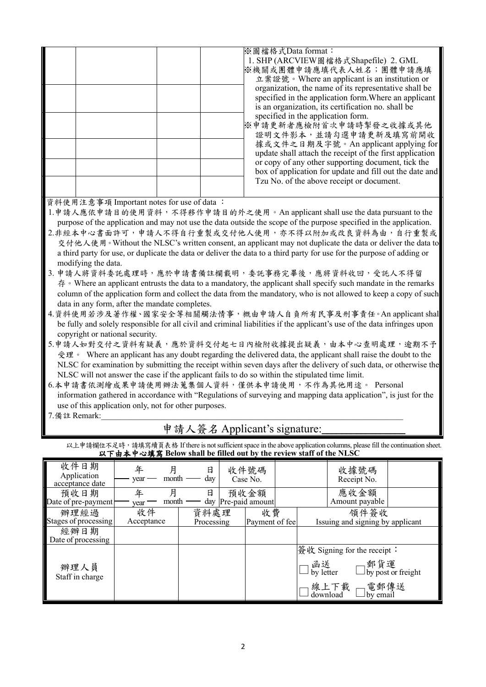|  | ※圖檔格式Data format:<br>1. SHP (ARCVIEW圖檔格式Shapefile) 2. GML<br>※機關或團體申請應填代表人姓名;團體申請應填<br>立案證號。Where an applicant is an institution or<br>organization, the name of its representative shall be<br>specified in the application form. Where an applicant<br>is an organization, its certification no. shall be<br>specified in the application form.<br>※申請更新者應檢附首次申請時掣發之收據或其他<br>證明文件影本,並請勾選申請更新及填寫前開收<br>據或文件之日期及字號。An applicant applying for<br>update shall attach the receipt of the first application<br>or copy of any other supporting document, tick the |
|--|----------------------------------------------------------------------------------------------------------------------------------------------------------------------------------------------------------------------------------------------------------------------------------------------------------------------------------------------------------------------------------------------------------------------------------------------------------------------------------------------------------------------------------------------------------------|
|  | box of application for update and fill out the date and<br>Tzu No. of the above receipt or document.                                                                                                                                                                                                                                                                                                                                                                                                                                                           |
|  |                                                                                                                                                                                                                                                                                                                                                                                                                                                                                                                                                                |

資料使用注意事項 Important notes for use of data :

1.申請人應依申請目的使用資料,不得移作申請目的外之使用。An applicant shall use the data pursuant to the purpose of the application and may not use the data outside the scope of the purpose specified in the application.

2.非經本中心書面許可,申請人不得自行重製或交付他人使用,亦不得以附加或改良資料為由,自行重製或 交付他人使用 。Without the NLSC's written consent, an applicant may not duplicate the data or deliver the data to a third party for use, or duplicate the data or deliver the data to a third party for use for the purpose of adding or modifying the data.

- 3. 申請人將資料委託處理時,應於申請書備註欄載明,委託事務完畢後,應將資料收回,受託人不得留  $\hat{\tau}$ . Where an applicant entrusts the data to a mandatory, the applicant shall specify such mandate in the remarks column of the application form and collect the data from the mandatory, who is not allowed to keep a copy of such data in any form, after the mandate completes.
- 4.資料使用若涉及著作權、國家安全等相關觸法情事,概由申請人自負所有民事及刑事責任。An applicant shall be fully and solely responsible for all civil and criminal liabilities if the applicant's use of the data infringes upon copyright or national security.
- 5.申請人如對交付之資料有疑義,應於資料交付起七日內檢附收據提出疑義,由本中心查明處理,逾期不予 受理。 Where an applicant has any doubt regarding the delivered data, the applicant shall raise the doubt to the NLSC for examination by submitting the receipt within seven days after the delivery of such data, or otherwise the NLSC will not answer the case if the applicant fails to do so within the stipulated time limit.
- 6.本申請書依測繪成果申請使用辦法蒐集個人資料,僅供本申請使用,不作為其他用途。 Personal information gathered in accordance with "Regulations of surveying and mapping data application", is just for the use of this application only, not for other purposes.
- 7. 備註 Remark:

## 申請人簽名 Applicant's signature:

以上申請欄位不足時,請填寫續頁表格 If there is not sufficient space in the above application columns, please fill the continuation sheet. 以下由本中心填寫 **Below shall be filled out by the review staff of the NLSC**

| 收件日期<br>Application<br>acceptance date | 年<br>year        | 日<br>day<br>month  | 收件號碼<br>Case No.              | 收據號碼<br>Receipt No.                                                                                       |
|----------------------------------------|------------------|--------------------|-------------------------------|-----------------------------------------------------------------------------------------------------------|
| 預收日期<br>Date of pre-payment            | 年<br>year        | 月<br>日<br>month    | 預收金額<br>day   Pre-paid amount | 應收金額<br>Amount payable                                                                                    |
| 辦理經過<br>Stages of processing           | 收件<br>Acceptance | 資料處理<br>Processing | 收費<br>Payment of feel         | 領件簽收<br>Issuing and signing by applicant                                                                  |
| 經辦日期<br>Date of processing             |                  |                    |                               |                                                                                                           |
| 辦理人員<br>Staff in charge                |                  |                    |                               | 簽收 Signing for the receipt:<br>」函送<br>コby letter  □by post or freight<br>線上下載 ■電郵傳送<br>download □by email |